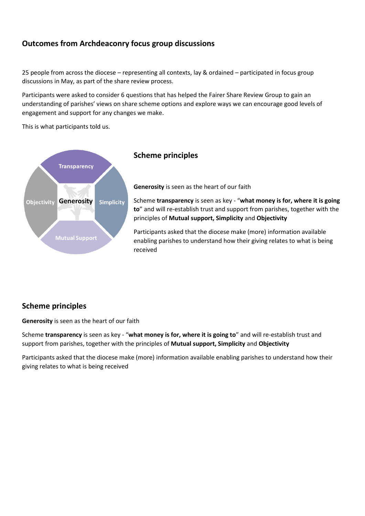# **Outcomes from Archdeaconry focus group discussions**

25 people from across the diocese – representing all contexts, lay & ordained – participated in focus group discussions in May, as part of the share review process.

Participants were asked to consider 6 questions that has helped the Fairer Share Review Group to gain an understanding of parishes' views on share scheme options and explore ways we can encourage good levels of engagement and support for any changes we make.

This is what participants told us.



# **Scheme principles**

**Generosity** is seen as the heart of our faith

Scheme **transparency** is seen as key - "**what money is for, where it is going to**" and will re-establish trust and support from parishes, together with the principles of **Mutual support, Simplicity** and **Objectivity**

Participants asked that the diocese make (more) information available enabling parishes to understand how their giving relates to what is being received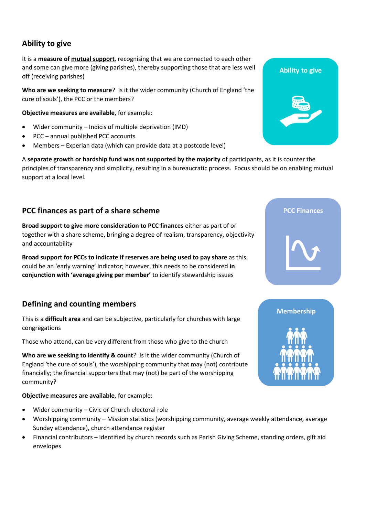# **Ability to give**

It is a **measure of mutual support**, recognising that we are connected to each other and some can give more (giving parishes), thereby supporting those that are less well off (receiving parishes)

**Who are we seeking to measure**? Is it the wider community (Church of England 'the cure of souls'), the PCC or the members?

**Objective measures are available**, for example:

- Wider community Indicis of multiple deprivation (IMD)
- PCC annual published PCC accounts
- Members Experian data (which can provide data at a postcode level)

A **separate growth or hardship fund was not supported by the majority** of participants, as it is counter the principles of transparency and simplicity, resulting in a bureaucratic process. Focus should be on enabling mutual support at a local level.

### **PCC finances as part of a share scheme**

**Broad support to give more consideration to PCC finances** either as part of or together with a share scheme, bringing a degree of realism, transparency, objectivity and accountability

**Broad support for PCCs to indicate if reserves are being used to pay share** as this could be an 'early warning' indicator; however, this needs to be considered **in conjunction with 'average giving per member'** to identify stewardship issues

# **Defining and counting members**

This is a **difficult area** and can be subjective, particularly for churches with large congregations

Those who attend, can be very different from those who give to the church

**Who are we seeking to identify & count**? Is it the wider community (Church of England 'the cure of souls'), the worshipping community that may (not) contribute financially; the financial supporters that may (not) be part of the worshipping community?

**Objective measures are available**, for example:

- Wider community Civic or Church electoral role
- Worshipping community Mission statistics (worshipping community, average weekly attendance, average Sunday attendance), church attendance register
- Financial contributors identified by church records such as Parish Giving Scheme, standing orders, gift aid envelopes





**PCC Finances**